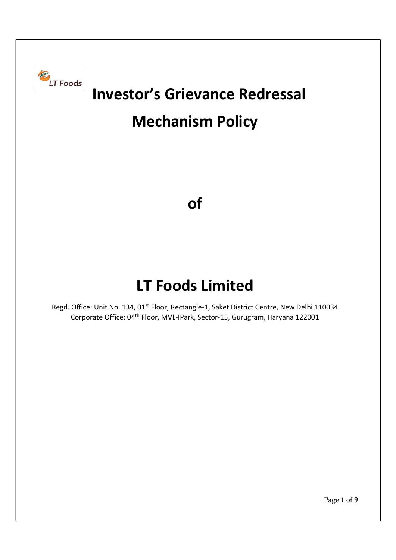

# Investor's Grievance Redressal

# Mechanism Policy

of

## LT Foods Limited

Regd. Office: Unit No. 134, 01<sup>st</sup> Floor, Rectangle-1, Saket District Centre, New Delhi 110034 Corporate Office: 04th Floor, MVL-IPark, Sector-15, Gurugram, Haryana 122001

Page 1 of 9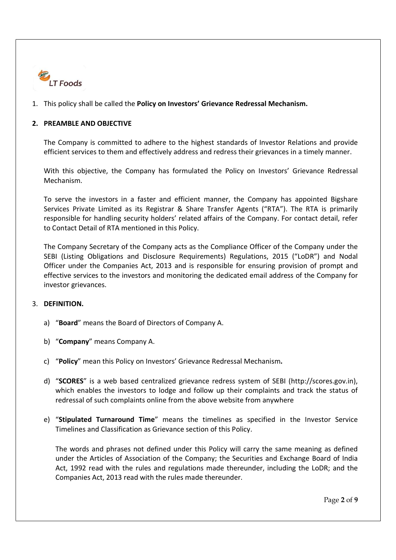

### 1. This policy shall be called the Policy on Investors' Grievance Redressal Mechanism.

#### 2. PREAMBLE AND OBJECTIVE

The Company is committed to adhere to the highest standards of Investor Relations and provide efficient services to them and effectively address and redress their grievances in a timely manner.

With this objective, the Company has formulated the Policy on Investors' Grievance Redressal Mechanism.

To serve the investors in a faster and efficient manner, the Company has appointed Bigshare Services Private Limited as its Registrar & Share Transfer Agents ("RTA"). The RTA is primarily responsible for handling security holders' related affairs of the Company. For contact detail, refer to Contact Detail of RTA mentioned in this Policy.

The Company Secretary of the Company acts as the Compliance Officer of the Company under the SEBI (Listing Obligations and Disclosure Requirements) Regulations, 2015 ("LoDR") and Nodal Officer under the Companies Act, 2013 and is responsible for ensuring provision of prompt and effective services to the investors and monitoring the dedicated email address of the Company for investor grievances.

#### 3. DEFINITION.

- a) "Board" means the Board of Directors of Company A.
- b) "Company" means Company A.
- c) "Policy" mean this Policy on Investors' Grievance Redressal Mechanism.
- d) "SCORES" is a web based centralized grievance redress system of SEBI (http://scores.gov.in), which enables the investors to lodge and follow up their complaints and track the status of redressal of such complaints online from the above website from anywhere
- e) "Stipulated Turnaround Time" means the timelines as specified in the Investor Service Timelines and Classification as Grievance section of this Policy.

The words and phrases not defined under this Policy will carry the same meaning as defined under the Articles of Association of the Company; the Securities and Exchange Board of India Act, 1992 read with the rules and regulations made thereunder, including the LoDR; and the Companies Act, 2013 read with the rules made thereunder.

Page 2 of 9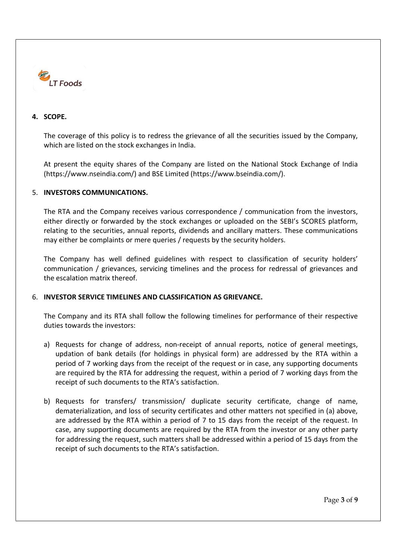

#### 4. SCOPE.

The coverage of this policy is to redress the grievance of all the securities issued by the Company, which are listed on the stock exchanges in India.

At present the equity shares of the Company are listed on the National Stock Exchange of India (https://www.nseindia.com/) and BSE Limited (https://www.bseindia.com/).

#### 5. INVESTORS COMMUNICATIONS.

The RTA and the Company receives various correspondence / communication from the investors, either directly or forwarded by the stock exchanges or uploaded on the SEBI's SCORES platform, relating to the securities, annual reports, dividends and ancillary matters. These communications may either be complaints or mere queries / requests by the security holders.

The Company has well defined guidelines with respect to classification of security holders' communication / grievances, servicing timelines and the process for redressal of grievances and the escalation matrix thereof.

#### 6. INVESTOR SERVICE TIMELINES AND CLASSIFICATION AS GRIEVANCE.

The Company and its RTA shall follow the following timelines for performance of their respective duties towards the investors:

- a) Requests for change of address, non-receipt of annual reports, notice of general meetings, updation of bank details (for holdings in physical form) are addressed by the RTA within a period of 7 working days from the receipt of the request or in case, any supporting documents are required by the RTA for addressing the request, within a period of 7 working days from the receipt of such documents to the RTA's satisfaction.
- b) Requests for transfers/ transmission/ duplicate security certificate, change of name, dematerialization, and loss of security certificates and other matters not specified in (a) above, are addressed by the RTA within a period of 7 to 15 days from the receipt of the request. In case, any supporting documents are required by the RTA from the investor or any other party for addressing the request, such matters shall be addressed within a period of 15 days from the receipt of such documents to the RTA's satisfaction.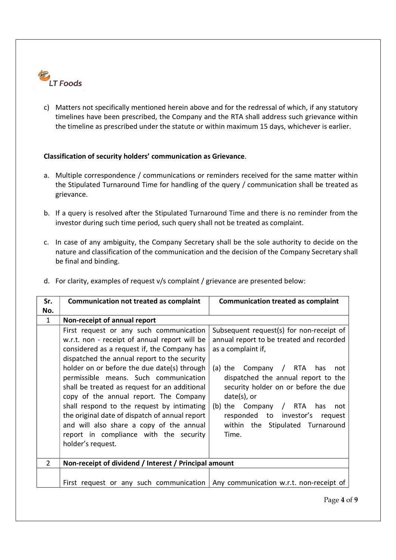

c) Matters not specifically mentioned herein above and for the redressal of which, if any statutory timelines have been prescribed, the Company and the RTA shall address such grievance within the timeline as prescribed under the statute or within maximum 15 days, whichever is earlier.

#### Classification of security holders' communication as Grievance.

- a. Multiple correspondence / communications or reminders received for the same matter within the Stipulated Turnaround Time for handling of the query / communication shall be treated as grievance.
- b. If a query is resolved after the Stipulated Turnaround Time and there is no reminder from the investor during such time period, such query shall not be treated as complaint.
- c. In case of any ambiguity, the Company Secretary shall be the sole authority to decide on the nature and classification of the communication and the decision of the Company Secretary shall be final and binding.

| Sr.<br>No.     | <b>Communication not treated as complaint</b>                                                                                                                                                                                                                                                                                                                                                                                                                                                                                                                                         | <b>Communication treated as complaint</b>                                                                                                                                                                                                                                                                                                                                         |  |
|----------------|---------------------------------------------------------------------------------------------------------------------------------------------------------------------------------------------------------------------------------------------------------------------------------------------------------------------------------------------------------------------------------------------------------------------------------------------------------------------------------------------------------------------------------------------------------------------------------------|-----------------------------------------------------------------------------------------------------------------------------------------------------------------------------------------------------------------------------------------------------------------------------------------------------------------------------------------------------------------------------------|--|
| $\mathbf{1}$   | Non-receipt of annual report                                                                                                                                                                                                                                                                                                                                                                                                                                                                                                                                                          |                                                                                                                                                                                                                                                                                                                                                                                   |  |
|                | First request or any such communication<br>w.r.t. non - receipt of annual report will be<br>considered as a request if, the Company has<br>dispatched the annual report to the security<br>holder on or before the due date(s) through<br>permissible means. Such communication<br>shall be treated as request for an additional<br>copy of the annual report. The Company<br>shall respond to the request by intimating<br>the original date of dispatch of annual report<br>and will also share a copy of the annual<br>report in compliance with the security<br>holder's request. | Subsequent request(s) for non-receipt of<br>annual report to be treated and recorded<br>as a complaint if,<br>Company / RTA<br>(a) the<br>has<br>not<br>dispatched the annual report to the<br>security holder on or before the due<br>$date(s)$ , or<br>(b) the $Company$ / RTA<br>has<br>not<br>responded to investor's<br>request<br>within the Stipulated Turnaround<br>Time. |  |
| $\overline{2}$ | Non-receipt of dividend / Interest / Principal amount                                                                                                                                                                                                                                                                                                                                                                                                                                                                                                                                 |                                                                                                                                                                                                                                                                                                                                                                                   |  |
|                | First request or any such communication $\vert$ Any communication w.r.t. non-receipt of                                                                                                                                                                                                                                                                                                                                                                                                                                                                                               | Page 4 of                                                                                                                                                                                                                                                                                                                                                                         |  |

d. For clarity, examples of request v/s complaint / grievance are presented below: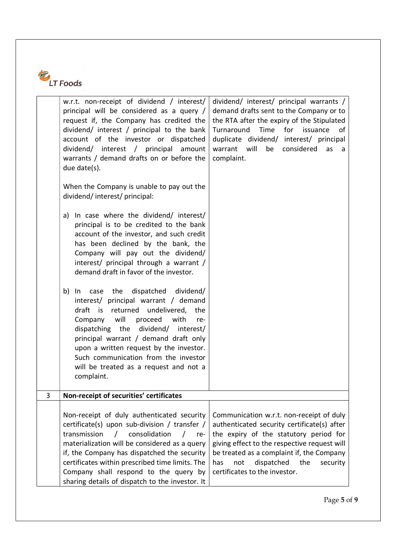

|   | w.r.t. non-receipt of dividend / interest/<br>principal will be considered as a query /<br>request if, the Company has credited the<br>dividend/ interest / principal to the bank<br>account of the investor or dispatched<br>dividend/ interest / principal amount<br>warrants / demand drafts on or before the<br>due date(s).<br>When the Company is unable to pay out the<br>dividend/interest/principal:<br>In case where the dividend/ interest/<br>a)<br>principal is to be credited to the bank<br>account of the investor, and such credit<br>has been declined by the bank, the<br>Company will pay out the dividend/<br>interest/ principal through a warrant /<br>demand draft in favor of the investor.<br>case the<br>dispatched dividend/<br>b)<br>In<br>interest/ principal warrant / demand<br>draft is<br>returned<br>undelivered, the<br>will<br>Company<br>proceed<br>with<br>re-<br>dispatching the dividend/ interest/<br>principal warrant / demand draft only<br>upon a written request by the investor.<br>Such communication from the investor<br>will be treated as a request and not a<br>complaint. | dividend/ interest/ principal warrants /<br>demand drafts sent to the Company or to<br>the RTA after the expiry of the Stipulated<br>Time<br>Turnaround<br>for<br>issuance<br>of<br>duplicate dividend/ interest/ principal<br>warrant will<br>considered<br>be<br>as<br>a<br>complaint.                       |
|---|----------------------------------------------------------------------------------------------------------------------------------------------------------------------------------------------------------------------------------------------------------------------------------------------------------------------------------------------------------------------------------------------------------------------------------------------------------------------------------------------------------------------------------------------------------------------------------------------------------------------------------------------------------------------------------------------------------------------------------------------------------------------------------------------------------------------------------------------------------------------------------------------------------------------------------------------------------------------------------------------------------------------------------------------------------------------------------------------------------------------------------|----------------------------------------------------------------------------------------------------------------------------------------------------------------------------------------------------------------------------------------------------------------------------------------------------------------|
| 3 | Non-receipt of securities' certificates                                                                                                                                                                                                                                                                                                                                                                                                                                                                                                                                                                                                                                                                                                                                                                                                                                                                                                                                                                                                                                                                                          |                                                                                                                                                                                                                                                                                                                |
|   | Non-receipt of duly authenticated security<br>certificate(s) upon sub-division / transfer /<br>transmission<br>consolidation<br>$\prime$<br>$\prime$<br>re-<br>materialization will be considered as a query<br>if, the Company has dispatched the security<br>certificates within prescribed time limits. The<br>Company shall respond to the query by<br>sharing details of dispatch to the investor. It                                                                                                                                                                                                                                                                                                                                                                                                                                                                                                                                                                                                                                                                                                                       | Communication w.r.t. non-receipt of duly<br>authenticated security certificate(s) after<br>the expiry of the statutory period for<br>giving effect to the respective request will<br>be treated as a complaint if, the Company<br>dispatched<br>security<br>has<br>not<br>the<br>certificates to the investor. |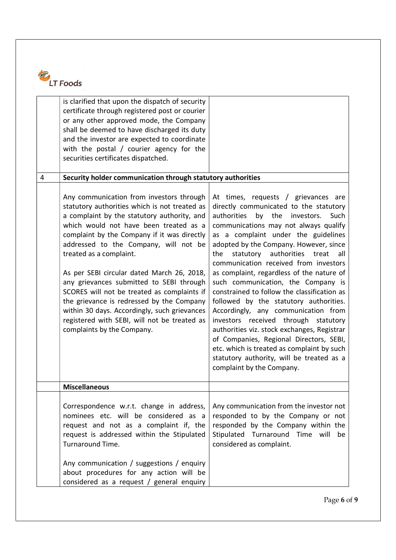

|                | is clarified that upon the dispatch of security<br>certificate through registered post or courier<br>or any other approved mode, the Company<br>shall be deemed to have discharged its duty<br>and the investor are expected to coordinate<br>with the postal / courier agency for the<br>securities certificates dispatched.                                                                                                                                                                                                                                                                                             |                                                                                                                                                                                                                                                                                                                                                                                                                                                                                                                                                                                                                                                                                                                                                                                                                                    |
|----------------|---------------------------------------------------------------------------------------------------------------------------------------------------------------------------------------------------------------------------------------------------------------------------------------------------------------------------------------------------------------------------------------------------------------------------------------------------------------------------------------------------------------------------------------------------------------------------------------------------------------------------|------------------------------------------------------------------------------------------------------------------------------------------------------------------------------------------------------------------------------------------------------------------------------------------------------------------------------------------------------------------------------------------------------------------------------------------------------------------------------------------------------------------------------------------------------------------------------------------------------------------------------------------------------------------------------------------------------------------------------------------------------------------------------------------------------------------------------------|
| $\overline{4}$ | Security holder communication through statutory authorities                                                                                                                                                                                                                                                                                                                                                                                                                                                                                                                                                               |                                                                                                                                                                                                                                                                                                                                                                                                                                                                                                                                                                                                                                                                                                                                                                                                                                    |
|                | Any communication from investors through<br>statutory authorities which is not treated as<br>a complaint by the statutory authority, and<br>which would not have been treated as a<br>complaint by the Company if it was directly<br>addressed to the Company, will not be<br>treated as a complaint.<br>As per SEBI circular dated March 26, 2018,<br>any grievances submitted to SEBI through<br>SCORES will not be treated as complaints if<br>the grievance is redressed by the Company<br>within 30 days. Accordingly, such grievances<br>registered with SEBI, will not be treated as<br>complaints by the Company. | At times, requests / grievances are<br>directly communicated to the statutory<br>authorities<br>by<br>the<br>investors.<br>Such<br>communications may not always qualify<br>as a complaint under the guidelines<br>adopted by the Company. However, since<br>statutory<br>authorities<br>the<br>treat<br>all<br>communication received from investors<br>as complaint, regardless of the nature of<br>such communication, the Company is<br>constrained to follow the classification as<br>followed by the statutory authorities.<br>Accordingly, any communication from<br>investors received through statutory<br>authorities viz. stock exchanges, Registrar<br>of Companies, Regional Directors, SEBI,<br>etc. which is treated as complaint by such<br>statutory authority, will be treated as a<br>complaint by the Company. |
|                | <b>Miscellaneous</b>                                                                                                                                                                                                                                                                                                                                                                                                                                                                                                                                                                                                      |                                                                                                                                                                                                                                                                                                                                                                                                                                                                                                                                                                                                                                                                                                                                                                                                                                    |
|                | Correspondence w.r.t. change in address,<br>nominees etc. will be considered as a<br>request and not as a complaint if, the<br>request is addressed within the Stipulated<br>Turnaround Time.<br>Any communication / suggestions / enquiry<br>about procedures for any action will be<br>considered as a request / general enquiry                                                                                                                                                                                                                                                                                        | Any communication from the investor not<br>responded to by the Company or not<br>responded by the Company within the<br>Stipulated<br>Turnaround Time will<br>be<br>considered as complaint.                                                                                                                                                                                                                                                                                                                                                                                                                                                                                                                                                                                                                                       |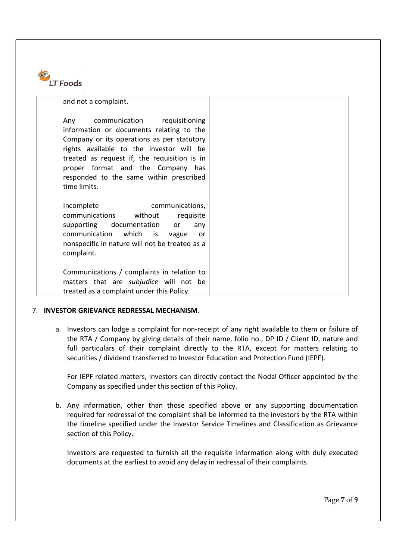

| and not a complaint.     |                                                                                                                                                                                                                                                                                                    |  |
|--------------------------|----------------------------------------------------------------------------------------------------------------------------------------------------------------------------------------------------------------------------------------------------------------------------------------------------|--|
| Any<br>time limits.      | communication requisitioning<br>information or documents relating to the<br>Company or its operations as per statutory<br>rights available to the investor will be<br>treated as request if, the requisition is in<br>proper format and the Company has<br>responded to the same within prescribed |  |
| Incomplete<br>complaint. | communications,<br>communications without<br>requisite<br>supporting documentation or<br>any<br>communication which is vague<br>or o<br>nonspecific in nature will not be treated as a                                                                                                             |  |
|                          | Communications / complaints in relation to<br>matters that are subjudice will not be<br>treated as a complaint under this Policy.                                                                                                                                                                  |  |

#### 7. INVESTOR GRIEVANCE REDRESSAL MECHANISM.

a. Investors can lodge a complaint for non-receipt of any right available to them or failure of the RTA / Company by giving details of their name, folio no., DP ID / Client ID, nature and full particulars of their complaint directly to the RTA, except for matters relating to securities / dividend transferred to Investor Education and Protection Fund (IEPF).

For IEPF related matters, investors can directly contact the Nodal Officer appointed by the Company as specified under this section of this Policy.

b. Any information, other than those specified above or any supporting documentation required for redressal of the complaint shall be informed to the investors by the RTA within the timeline specified under the Investor Service Timelines and Classification as Grievance section of this Policy.

Investors are requested to furnish all the requisite information along with duly executed documents at the earliest to avoid any delay in redressal of their complaints.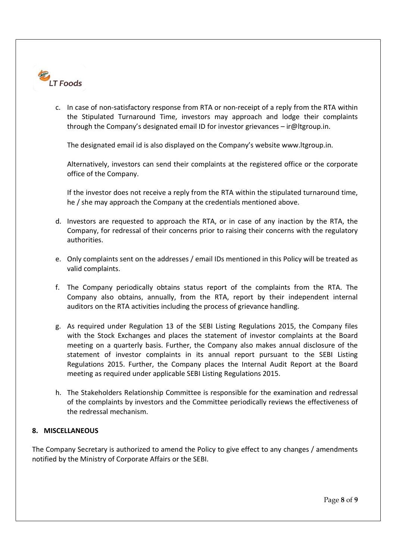

c. In case of non-satisfactory response from RTA or non-receipt of a reply from the RTA within the Stipulated Turnaround Time, investors may approach and lodge their complaints through the Company's designated email ID for investor grievances – ir@ltgroup.in.

The designated email id is also displayed on the Company's website www.ltgroup.in.

Alternatively, investors can send their complaints at the registered office or the corporate office of the Company.

If the investor does not receive a reply from the RTA within the stipulated turnaround time, he / she may approach the Company at the credentials mentioned above.

- d. Investors are requested to approach the RTA, or in case of any inaction by the RTA, the Company, for redressal of their concerns prior to raising their concerns with the regulatory authorities.
- e. Only complaints sent on the addresses / email IDs mentioned in this Policy will be treated as valid complaints.
- f. The Company periodically obtains status report of the complaints from the RTA. The Company also obtains, annually, from the RTA, report by their independent internal auditors on the RTA activities including the process of grievance handling.
- g. As required under Regulation 13 of the SEBI Listing Regulations 2015, the Company files with the Stock Exchanges and places the statement of investor complaints at the Board meeting on a quarterly basis. Further, the Company also makes annual disclosure of the statement of investor complaints in its annual report pursuant to the SEBI Listing Regulations 2015. Further, the Company places the Internal Audit Report at the Board meeting as required under applicable SEBI Listing Regulations 2015.
- h. The Stakeholders Relationship Committee is responsible for the examination and redressal of the complaints by investors and the Committee periodically reviews the effectiveness of the redressal mechanism.

### 8. MISCELLANEOUS

The Company Secretary is authorized to amend the Policy to give effect to any changes / amendments notified by the Ministry of Corporate Affairs or the SEBI.